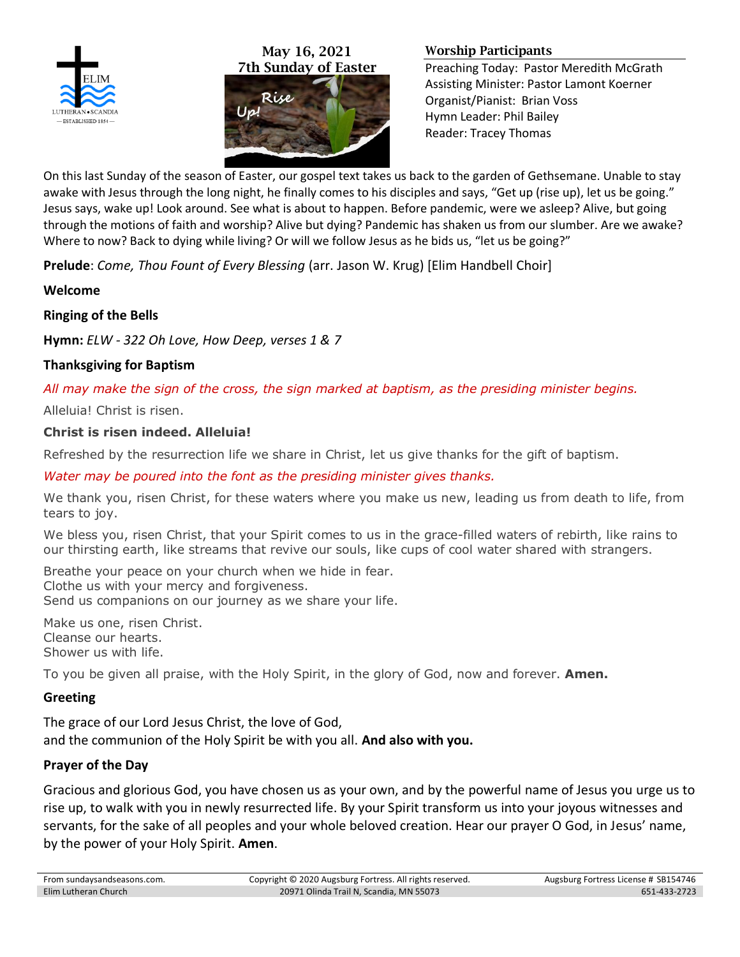

May 16, 2021 7th Sunday of Easter



#### Worship Participants

Preaching Today: Pastor Meredith McGrath Assisting Minister: Pastor Lamont Koerner Organist/Pianist: Brian Voss Hymn Leader: Phil Bailey Reader: Tracey Thomas

On this last Sunday of the season of Easter, our gospel text takes us back to the garden of Gethsemane. Unable to stay awake with Jesus through the long night, he finally comes to his disciples and says, "Get up (rise up), let us be going." Jesus says, wake up! Look around. See what is about to happen. Before pandemic, were we asleep? Alive, but going through the motions of faith and worship? Alive but dying? Pandemic has shaken us from our slumber. Are we awake? Where to now? Back to dying while living? Or will we follow Jesus as he bids us, "let us be going?"

**Prelude**: *Come, Thou Fount of Every Blessing* (arr. Jason W. Krug) [Elim Handbell Choir]

**Welcome**

# **Ringing of the Bells**

**Hymn:** *ELW - 322 Oh Love, How Deep, verses 1 & 7*

# **Thanksgiving for Baptism**

*All may make the sign of the cross, the sign marked at baptism, as the presiding minister begins.*

Alleluia! Christ is risen.

# **Christ is risen indeed. Alleluia!**

Refreshed by the resurrection life we share in Christ, let us give thanks for the gift of baptism.

## *Water may be poured into the font as the presiding minister gives thanks.*

We thank you, risen Christ, for these waters where you make us new, leading us from death to life, from tears to joy.

We bless you, risen Christ, that your Spirit comes to us in the grace-filled waters of rebirth, like rains to our thirsting earth, like streams that revive our souls, like cups of cool water shared with strangers.

Breathe your peace on your church when we hide in fear. Clothe us with your mercy and forgiveness. Send us companions on our journey as we share your life.

Make us one, risen Christ. Cleanse our hearts. Shower us with life.

To you be given all praise, with the Holy Spirit, in the glory of God, now and forever. **Amen.**

# **Greeting**

The grace of our Lord Jesus Christ, the love of God, and the communion of the Holy Spirit be with you all. **And also with you.**

# **Prayer of the Day**

Gracious and glorious God, you have chosen us as your own, and by the powerful name of Jesus you urge us to rise up, to walk with you in newly resurrected life. By your Spirit transform us into your joyous witnesses and servants, for the sake of all peoples and your whole beloved creation. Hear our prayer O God, in Jesus' name, by the power of your Holy Spirit. **Amen**.

| From sundaysandseasons.com. | Copyright © 2020 Augsburg Fortress. All rights reserved. | Augsburg Fortress License # SB154746 |
|-----------------------------|----------------------------------------------------------|--------------------------------------|
| <b>Elim Lutheran Church</b> | 20971 Olinda Trail N, Scandia, MN 55073                  | 651-433-2723                         |